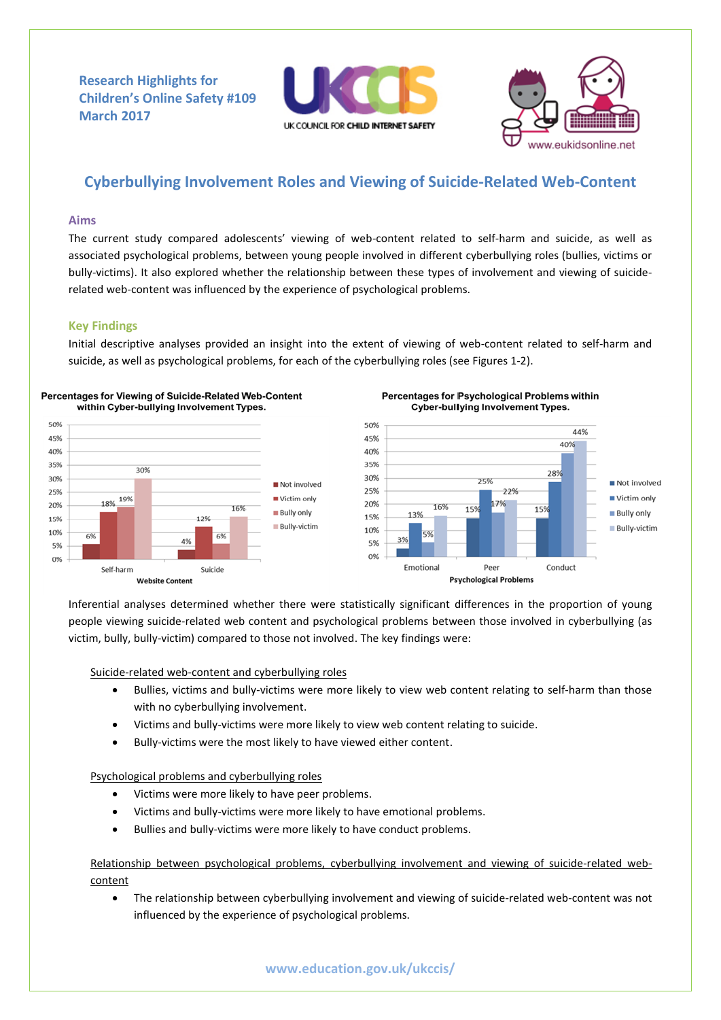**Research Highlights for Children's Online Safety #109 March 2017**





# **Cyberbullying Involvement Roles and Viewing of Suicide-Related Web-Content**

## **Aims**

The current study compared adolescents' viewing of web-content related to self-harm and suicide, as well as associated psychological problems, between young people involved in different cyberbullying roles (bullies, victims or bully-victims). It also explored whether the relationship between these types of involvement and viewing of suiciderelated web-content was influenced by the experience of psychological problems.

## **Key Findings**

Initial descriptive analyses provided an insight into the extent of viewing of web-content related to self-harm and suicide, as well as psychological problems, for each of the cyberbullying roles (see Figures 1-2).







Inferential analyses determined whether there were statistically significant differences in the proportion of young people viewing suicide-related web content and psychological problems between those involved in cyberbullying (as victim, bully, bully-victim) compared to those not involved. The key findings were:

Suicide-related web-content and cyberbullying roles

- Bullies, victims and bully-victims were more likely to view web content relating to self-harm than those with no cyberbullying involvement.
- Victims and bully-victims were more likely to view web content relating to suicide.
- Bully-victims were the most likely to have viewed either content.

Psychological problems and cyberbullying roles

- Victims were more likely to have peer problems.
- Victims and bully-victims were more likely to have emotional problems.
- Bullies and bully-victims were more likely to have conduct problems.

Relationship between psychological problems, cyberbullying involvement and viewing of suicide-related webcontent

 The relationship between cyberbullying involvement and viewing of suicide-related web-content was not influenced by the experience of psychological problems.